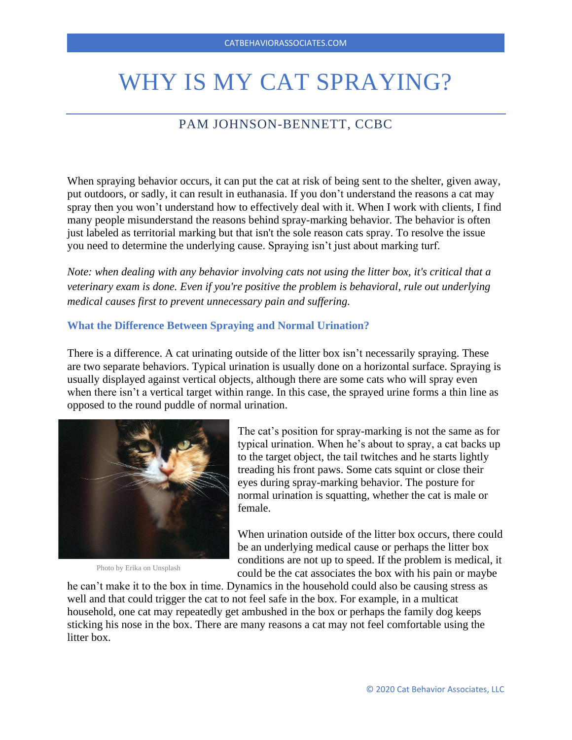# WHY IS MY CAT SPRAYING?

# PAM JOHNSON-BENNETT, CCBC

When spraying behavior occurs, it can put the cat at risk of being sent to the shelter, given away, put outdoors, or sadly, it can result in euthanasia. If you don't understand the reasons a cat may spray then you won't understand how to effectively deal with it. When I work with clients, I find many people misunderstand the reasons behind spray-marking behavior. The behavior is often just labeled as territorial marking but that isn't the sole reason cats spray. To resolve the issue you need to determine the underlying cause. Spraying isn't just about marking turf.

*Note: when dealing with any behavior involving cats not using the litter box, it's critical that a veterinary exam is done. Even if you're positive the problem is behavioral, rule out underlying medical causes first to prevent unnecessary pain and suffering.*

## **What the Difference Between Spraying and Normal Urination?**

There is a difference. A cat urinating outside of the litter box isn't necessarily spraying. These are two separate behaviors. Typical urination is usually done on a horizontal surface. Spraying is usually displayed against vertical objects, although there are some cats who will spray even when there isn't a vertical target within range. In this case, the sprayed urine forms a thin line as opposed to the round puddle of normal urination.



Photo by Erika on Unsplash

The cat's position for spray-marking is not the same as for typical urination. When he's about to spray, a cat backs up to the target object, the tail twitches and he starts lightly treading his front paws. Some cats squint or close their eyes during spray-marking behavior. The posture for normal urination is squatting, whether the cat is male or female.

When urination outside of the litter box occurs, there could be an underlying medical cause or perhaps the litter box conditions are not up to speed. If the problem is medical, it could be the cat associates the box with his pain or maybe

he can't make it to the box in time. Dynamics in the household could also be causing stress as well and that could trigger the cat to not feel safe in the box. For example, in a multicat household, one cat may repeatedly get ambushed in the box or perhaps the family dog keeps sticking his nose in the box. There are many reasons a cat may not feel comfortable using the litter box.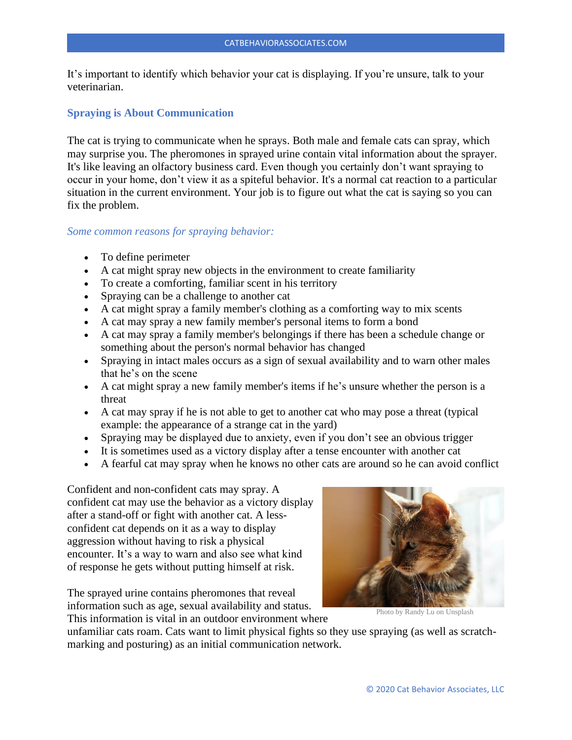It's important to identify which behavior your cat is displaying. If you're unsure, talk to your veterinarian.

#### **Spraying is About Communication**

The cat is trying to communicate when he sprays. Both male and female cats can spray, which may surprise you. The pheromones in sprayed urine contain vital information about the sprayer. It's like leaving an olfactory business card. Even though you certainly don't want spraying to occur in your home, don't view it as a spiteful behavior. It's a normal cat reaction to a particular situation in the current environment. Your job is to figure out what the cat is saying so you can fix the problem.

#### *Some common reasons for spraying behavior:*

- To define perimeter
- A cat might spray new objects in the environment to create familiarity
- To create a comforting, familiar scent in his territory
- Spraying can be a challenge to another cat
- A cat might spray a family member's clothing as a comforting way to mix scents
- A cat may spray a new family member's personal items to form a bond
- A cat may spray a family member's belongings if there has been a schedule change or something about the person's normal behavior has changed
- Spraying in intact males occurs as a sign of sexual availability and to warn other males that he's on the scene
- A cat might spray a new family member's items if he's unsure whether the person is a threat
- A cat may spray if he is not able to get to another cat who may pose a threat (typical example: the appearance of a strange cat in the yard)
- Spraying may be displayed due to anxiety, even if you don't see an obvious trigger
- It is sometimes used as a victory display after a tense encounter with another cat
- A fearful cat may spray when he knows no other cats are around so he can avoid conflict

Confident and non-confident cats may spray. A confident cat may use the behavior as a victory display after a stand-off or fight with another cat. A lessconfident cat depends on it as a way to display aggression without having to risk a physical encounter. It's a way to warn and also see what kind of response he gets without putting himself at risk.

The sprayed urine contains pheromones that reveal information such as age, sexual availability and status.

This information is vital in an outdoor environment where

unfamiliar cats roam. Cats want to limit physical fights so they use spraying (as well as scratchmarking and posturing) as an initial communication network.



Photo by Randy Lu on Unsplash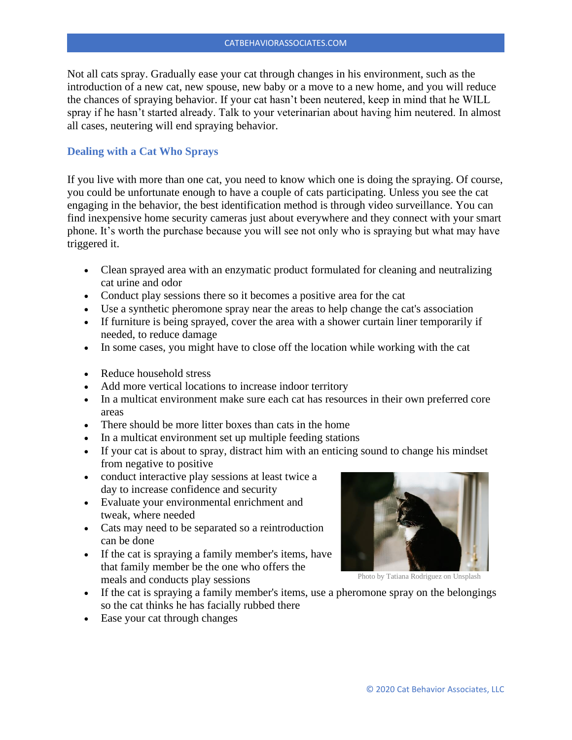Not all cats spray. Gradually ease your cat through changes in his environment, such as the introduction of a new cat, new spouse, new baby or a move to a new home, and you will reduce the chances of spraying behavior. If your cat hasn't been neutered, keep in mind that he WILL spray if he hasn't started already. Talk to your veterinarian about having him neutered. In almost all cases, neutering will end spraying behavior.

### **Dealing with a Cat Who Sprays**

If you live with more than one cat, you need to know which one is doing the spraying. Of course, you could be unfortunate enough to have a couple of cats participating. Unless you see the cat engaging in the behavior, the best identification method is through video surveillance. You can find inexpensive home security cameras just about everywhere and they connect with your smart phone. It's worth the purchase because you will see not only who is spraying but what may have triggered it.

- Clean sprayed area with an enzymatic product formulated for cleaning and neutralizing cat urine and odor
- Conduct play sessions there so it becomes a positive area for the cat
- Use a synthetic pheromone spray near the areas to help change the cat's association
- If furniture is being sprayed, cover the area with a shower curtain liner temporarily if needed, to reduce damage
- In some cases, you might have to close off the location while working with the cat
- Reduce household stress
- Add more vertical locations to increase indoor territory
- In a multicat environment make sure each cat has resources in their own preferred core areas
- There should be more litter boxes than cats in the home
- In a multicat environment set up multiple feeding stations
- If your cat is about to spray, distract him with an enticing sound to change his mindset from negative to positive
- conduct interactive play sessions at least twice a day to increase confidence and security
- Evaluate your environmental enrichment and tweak, where needed
- Cats may need to be separated so a reintroduction can be done
- If the cat is spraying a family member's items, have that family member be the one who offers the meals and conducts play sessions



Photo by Tatiana Rodriguez on Unsplash

- If the cat is spraying a family member's items, use a pheromone spray on the belongings so the cat thinks he has facially rubbed there
- Ease your cat through changes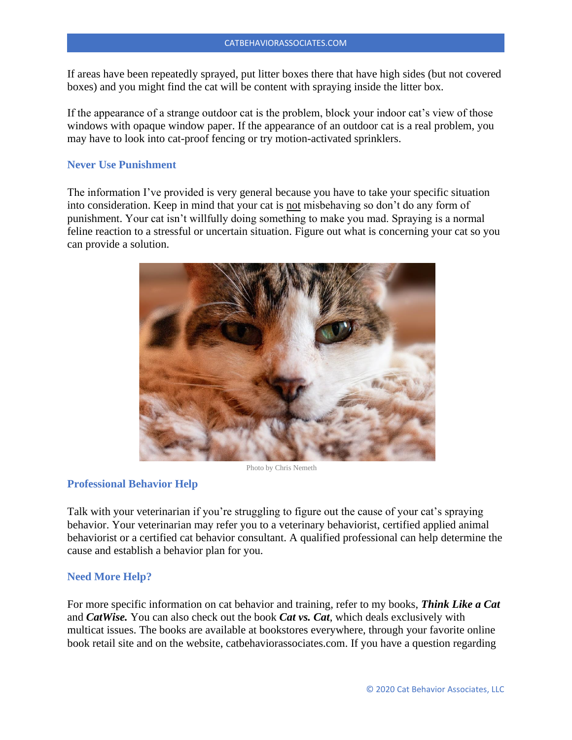If areas have been repeatedly sprayed, put litter boxes there that have high sides (but not covered boxes) and you might find the cat will be content with spraying inside the litter box.

If the appearance of a strange outdoor cat is the problem, block your indoor cat's view of those windows with opaque window paper. If the appearance of an outdoor cat is a real problem, you may have to look into cat-proof fencing or try motion-activated sprinklers.

### **Never Use Punishment**

The information I've provided is very general because you have to take your specific situation into consideration. Keep in mind that your cat is not misbehaving so don't do any form of punishment. Your cat isn't willfully doing something to make you mad. Spraying is a normal feline reaction to a stressful or uncertain situation. Figure out what is concerning your cat so you can provide a solution.



Photo by Chris Nemeth

# **Professional Behavior Help**

Talk with your veterinarian if you're struggling to figure out the cause of your cat's spraying behavior. Your veterinarian may refer you to a veterinary behaviorist, certified applied animal behaviorist or a certified cat behavior consultant. A qualified professional can help determine the cause and establish a behavior plan for you.

#### **Need More Help?**

For more specific information on cat behavior and training, refer to my books, *Think Like a Cat* and *CatWise.* You can also check out the book *Cat vs. Cat*, which deals exclusively with multicat issues. The books are available at bookstores everywhere, through your favorite online book retail site and on the website, catbehaviorassociates.com. If you have a question regarding